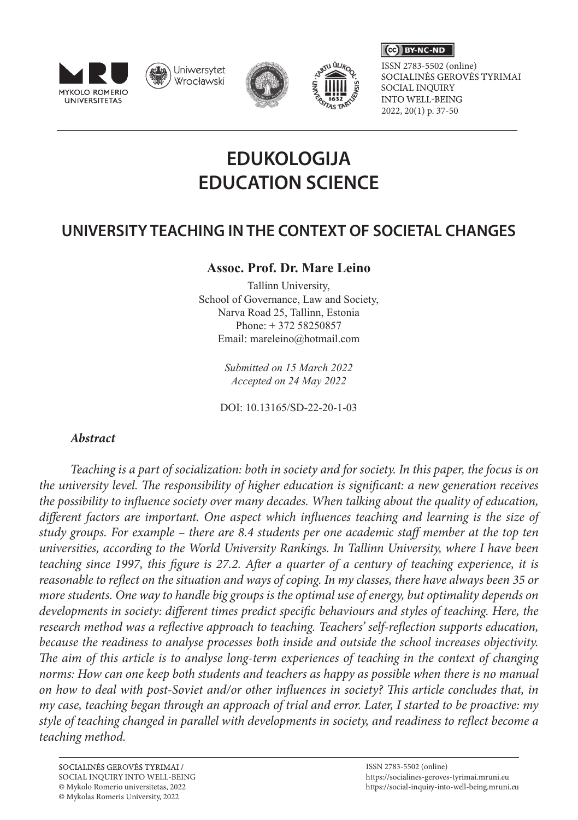

Uniwersytet Wrocławski





SOCIALINĖS GEROVĖS TYRIMAI SOCIAL INQUIRY<br>INTO WELL-BEING 2022, 20(1) p. 37-50 ISSN 2783-5502 (online)

 $\left(\begin{matrix} \begin{matrix} 1 \\ 0 \\ 0 \end{matrix} \end{matrix}\right)$  BY-NC-ND

# **EDUKOLOGIJA EDUCATION SCIENCE**

## **UNIVERSITY TEACHING IN THE CONTEXT OF SOCIETAL CHANGES**

## **Assoc. Prof. Dr. Mare Leino**

Tallinn University, School of Governance, Law and Society, Narva Road 25, Tallinn, Estonia Phone: + 372 58250857 Email: mareleino@hotmail.com

> *Submitted on 15 March 2022 Accepted on 24 May 2022*

DOI: 10.13165/SD-22-20-1-03

## *Abstract*

*Teaching is a part of socialization: both in society and for society. In this paper, the focus is on the university level. The responsibility of higher education is significant: a new generation receives the possibility to influence society over many decades. When talking about the quality of education, different factors are important. One aspect which influences teaching and learning is the size of study groups. For example – there are 8.4 students per one academic staff member at the top ten universities, according to the World University Rankings. In Tallinn University, where I have been teaching since 1997, this figure is 27.2. After a quarter of a century of teaching experience, it is reasonable to reflect on the situation and ways of coping. In my classes, there have always been 35 or more students. One way to handle big groups is the optimal use of energy, but optimality depends on developments in society: different times predict specific behaviours and styles of teaching. Here, the research method was a reflective approach to teaching. Teachers' self-reflection supports education, because the readiness to analyse processes both inside and outside the school increases objectivity. The aim of this article is to analyse long-term experiences of teaching in the context of changing norms: How can one keep both students and teachers as happy as possible when there is no manual on how to deal with post-Soviet and/or other influences in society? This article concludes that, in my case, teaching began through an approach of trial and error. Later, I started to be proactive: my style of teaching changed in parallel with developments in society, and readiness to reflect become a teaching method.*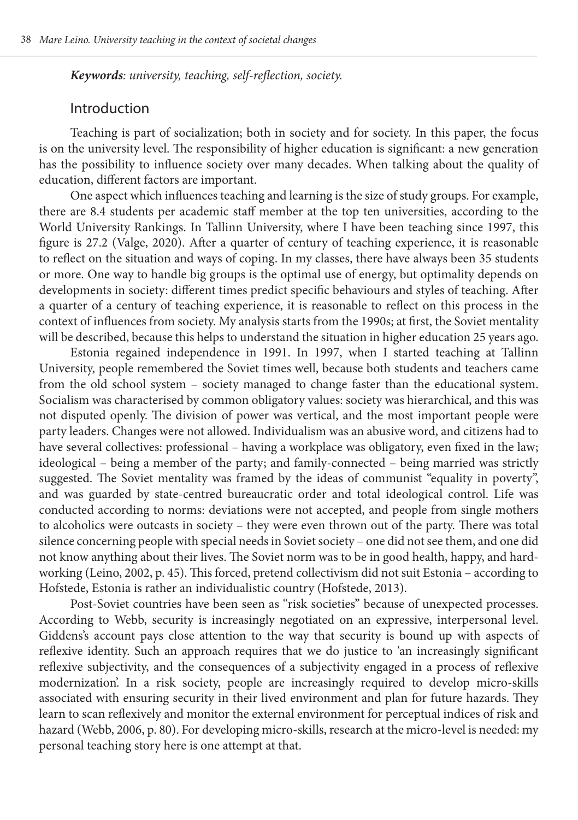*Keywords: university, teaching, self-reflection, society.* 

## Introduction

Teaching is part of socialization; both in society and for society. In this paper, the focus is on the university level. The responsibility of higher education is significant: a new generation has the possibility to influence society over many decades. When talking about the quality of education, different factors are important.

One aspect which influences teaching and learning is the size of study groups. For example, there are 8.4 students per academic staff member at the top ten universities, according to the World University Rankings. In Tallinn University, where I have been teaching since 1997, this figure is 27.2 (Valge, 2020). After a quarter of century of teaching experience, it is reasonable to reflect on the situation and ways of coping. In my classes, there have always been 35 students or more. One way to handle big groups is the optimal use of energy, but optimality depends on developments in society: different times predict specific behaviours and styles of teaching. After a quarter of a century of teaching experience, it is reasonable to reflect on this process in the context of influences from society. My analysis starts from the 1990s; at first, the Soviet mentality will be described, because this helps to understand the situation in higher education 25 years ago.

Estonia regained independence in 1991. In 1997, when I started teaching at Tallinn University, people remembered the Soviet times well, because both students and teachers came from the old school system – society managed to change faster than the educational system. Socialism was characterised by common obligatory values: society was hierarchical, and this was not disputed openly. The division of power was vertical, and the most important people were party leaders. Changes were not allowed. Individualism was an abusive word, and citizens had to have several collectives: professional – having a workplace was obligatory, even fixed in the law; ideological – being a member of the party; and family-connected – being married was strictly suggested. The Soviet mentality was framed by the ideas of communist "equality in poverty", and was guarded by state-centred bureaucratic order and total ideological control. Life was conducted according to norms: deviations were not accepted, and people from single mothers to alcoholics were outcasts in society – they were even thrown out of the party. There was total silence concerning people with special needs in Soviet society – one did not see them, and one did not know anything about their lives. The Soviet norm was to be in good health, happy, and hardworking (Leino, 2002, p. 45). This forced, pretend collectivism did not suit Estonia – according to Hofstede, Estonia is rather an individualistic country (Hofstede, 2013).

Post-Soviet countries have been seen as "risk societies" because of unexpected processes. According to Webb, security is increasingly negotiated on an expressive, interpersonal level. Giddens's account pays close attention to the way that security is bound up with aspects of reflexive identity. Such an approach requires that we do justice to 'an increasingly significant reflexive subjectivity, and the consequences of a subjectivity engaged in a process of reflexive modernization'. In a risk society, people are increasingly required to develop micro-skills associated with ensuring security in their lived environment and plan for future hazards. They learn to scan reflexively and monitor the external environment for perceptual indices of risk and hazard (Webb, 2006, p. 80). For developing micro-skills, research at the micro-level is needed: my personal teaching story here is one attempt at that.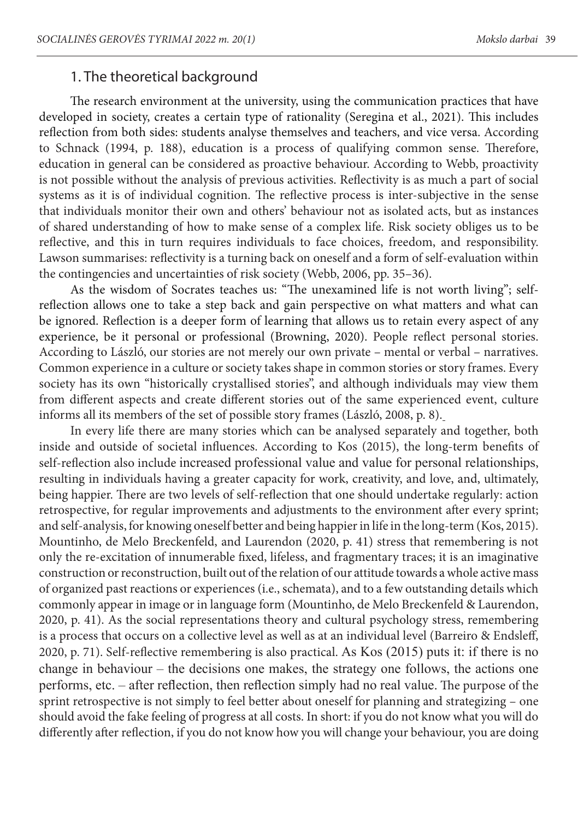## 1. The theoretical background

The research environment at the university, using the communication practices that have developed in society, creates a certain type of rationality (Seregina et al., 2021). This includes reflection from both sides: students analyse themselves and teachers, and vice versa. According to Schnack (1994, p. 188), education is a process of qualifying common sense. Therefore, education in general can be considered as proactive behaviour. According to Webb, proactivity is not possible without the analysis of previous activities. Reflectivity is as much a part of social systems as it is of individual cognition. The reflective process is inter-subjective in the sense that individuals monitor their own and others' behaviour not as isolated acts, but as instances of shared understanding of how to make sense of a complex life. Risk society obliges us to be reflective, and this in turn requires individuals to face choices, freedom, and responsibility. Lawson summarises: reflectivity is a turning back on oneself and a form of self-evaluation within the contingencies and uncertainties of risk society (Webb, 2006, pp. 35–36).

As the wisdom of Socrates teaches us: "The unexamined life is not worth living"; selfreflection allows one to take a step back and gain perspective on what matters and what can be ignored. Reflection is a deeper form of learning that allows us to retain every aspect of any experience, be it personal or professional (Browning, 2020). People reflect personal stories. According to László, our stories are not merely our own private – mental or verbal – narratives. Common experience in a culture or society takes shape in common stories or story frames. Every society has its own "historically crystallised stories", and although individuals may view them from different aspects and create different stories out of the same experienced event, culture informs all its members of the set of possible story frames (László, 2008, p. 8).

In every life there are many stories which can be analysed separately and together, both inside and outside of societal influences. According to Kos (2015), the long-term benefits of self-reflection also include increased professional value and value for personal relationships, resulting in individuals having a greater capacity for work, creativity, and love, and, ultimately, being happier. There are two levels of self-reflection that one should undertake regularly: action retrospective, for regular improvements and adjustments to the environment after every sprint; and self-analysis, for knowing oneself better and being happier in life in the long-term (Kos, 2015). Mountinho, de Melo Breckenfeld, and Laurendon (2020, p. 41) stress that remembering is not only the re-excitation of innumerable fixed, lifeless, and fragmentary traces; it is an imaginative construction or reconstruction, built out of the relation of our attitude towards a whole active mass of organized past reactions or experiences (i.e., schemata), and to a few outstanding details which commonly appear in image or in language form (Mountinho, de Melo Breckenfeld & Laurendon, 2020, p. 41). As the social representations theory and cultural psychology stress, remembering is a process that occurs on a collective level as well as at an individual level (Barreiro & Endsleff, 2020, p. 71). Self-reflective remembering is also practical. As Kos (2015) puts it: if there is no change in behaviour – the decisions one makes, the strategy one follows, the actions one performs, etc. – after reflection, then reflection simply had no real value. The purpose of the sprint retrospective is not simply to feel better about oneself for planning and strategizing – one should avoid the fake feeling of progress at all costs. In short: if you do not know what you will do differently after reflection, if you do not know how you will change your behaviour, you are doing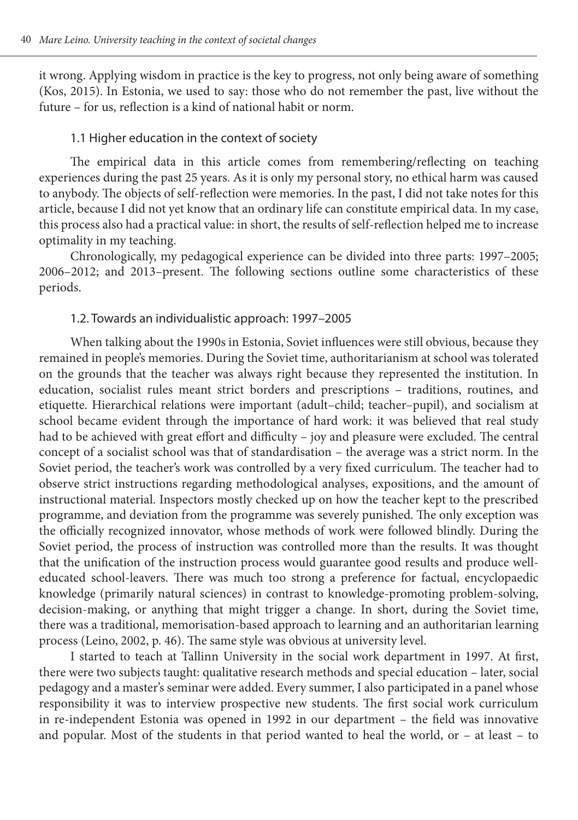it wrong. Applying wisdom in practice is the key to progress, not only being aware of something (Kos, 2015). In Estonia, we used to say: those who do not remember the past, live without the future – for us, reflection is a kind of national habit or norm.

#### 1.1 Higher education in the context of society

The empirical data in this article comes from remembering/reflecting on teaching experiences during the past 25 years. As it is only my personal story, no ethical harm was caused to anybody. The objects of self-reflection were memories. In the past, I did not take notes for this article, because I did not yet know that an ordinary life can constitute empirical data. In my case, this process also had a practical value: in short, the results of self-reflection helped me to increase optimality in my teaching.

Chronologically, my pedagogical experience can be divided into three parts: 1997–2005; 2006–2012; and 2013–present. The following sections outline some characteristics of these periods.

#### 1.2. Towards an individualistic approach: 1997–2005

When talking about the 1990s in Estonia, Soviet influences were still obvious, because they remained in people's memories. During the Soviet time, authoritarianism at school was tolerated on the grounds that the teacher was always right because they represented the institution. In education, socialist rules meant strict borders and prescriptions – traditions, routines, and etiquette. Hierarchical relations were important (adult–child; teacher–pupil), and socialism at school became evident through the importance of hard work: it was believed that real study had to be achieved with great effort and difficulty – joy and pleasure were excluded. The central concept of a socialist school was that of standardisation – the average was a strict norm. In the Soviet period, the teacher's work was controlled by a very fixed curriculum. The teacher had to observe strict instructions regarding methodological analyses, expositions, and the amount of instructional material. Inspectors mostly checked up on how the teacher kept to the prescribed programme, and deviation from the programme was severely punished. The only exception was the officially recognized innovator, whose methods of work were followed blindly. During the Soviet period, the process of instruction was controlled more than the results. It was thought that the unification of the instruction process would guarantee good results and produce welleducated school-leavers. There was much too strong a preference for factual, encyclopaedic knowledge (primarily natural sciences) in contrast to knowledge-promoting problem-solving, decision-making, or anything that might trigger a change. In short, during the Soviet time, there was a traditional, memorisation-based approach to learning and an authoritarian learning process (Leino, 2002, p. 46). The same style was obvious at university level.

I started to teach at Tallinn University in the social work department in 1997. At first, there were two subjects taught: qualitative research methods and special education – later, social pedagogy and a master's seminar were added. Every summer, I also participated in a panel whose responsibility it was to interview prospective new students. The first social work curriculum in re-independent Estonia was opened in 1992 in our department – the field was innovative and popular. Most of the students in that period wanted to heal the world, or – at least – to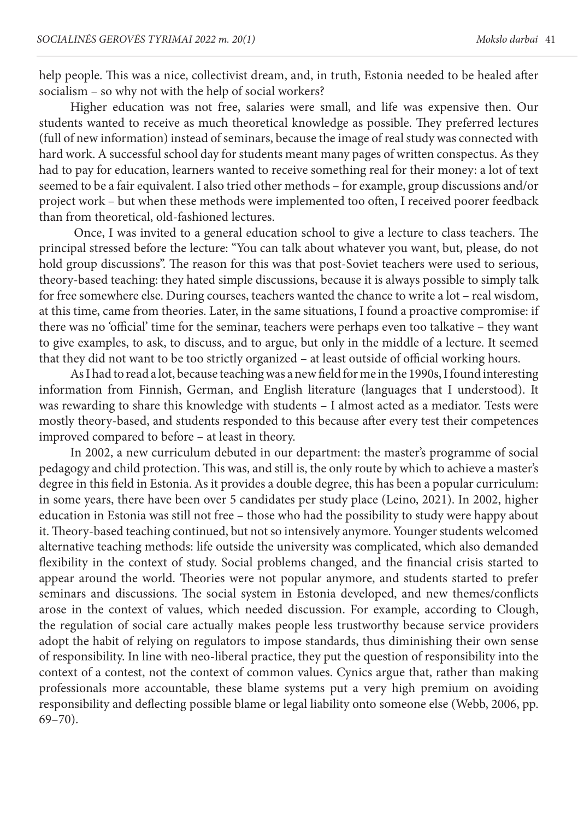help people. This was a nice, collectivist dream, and, in truth, Estonia needed to be healed after socialism – so why not with the help of social workers?

Higher education was not free, salaries were small, and life was expensive then. Our students wanted to receive as much theoretical knowledge as possible. They preferred lectures (full of new information) instead of seminars, because the image of real study was connected with hard work. A successful school day for students meant many pages of written conspectus. As they had to pay for education, learners wanted to receive something real for their money: a lot of text seemed to be a fair equivalent. I also tried other methods – for example, group discussions and/or project work – but when these methods were implemented too often, I received poorer feedback than from theoretical, old-fashioned lectures.

 Once, I was invited to a general education school to give a lecture to class teachers. The principal stressed before the lecture: "You can talk about whatever you want, but, please, do not hold group discussions". The reason for this was that post-Soviet teachers were used to serious, theory-based teaching: they hated simple discussions, because it is always possible to simply talk for free somewhere else. During courses, teachers wanted the chance to write a lot – real wisdom, at this time, came from theories. Later, in the same situations, I found a proactive compromise: if there was no 'official' time for the seminar, teachers were perhaps even too talkative – they want to give examples, to ask, to discuss, and to argue, but only in the middle of a lecture. It seemed that they did not want to be too strictly organized – at least outside of official working hours.

As I had to read a lot, because teaching was a new field for me in the 1990s, I found interesting information from Finnish, German, and English literature (languages that I understood). It was rewarding to share this knowledge with students – I almost acted as a mediator. Tests were mostly theory-based, and students responded to this because after every test their competences improved compared to before – at least in theory.

In 2002, a new curriculum debuted in our department: the master's programme of social pedagogy and child protection. This was, and still is, the only route by which to achieve a master's degree in this field in Estonia. As it provides a double degree, this has been a popular curriculum: in some years, there have been over 5 candidates per study place (Leino, 2021). In 2002, higher education in Estonia was still not free – those who had the possibility to study were happy about it. Theory-based teaching continued, but not so intensively anymore. Younger students welcomed alternative teaching methods: life outside the university was complicated, which also demanded flexibility in the context of study. Social problems changed, and the financial crisis started to appear around the world. Theories were not popular anymore, and students started to prefer seminars and discussions. The social system in Estonia developed, and new themes/conflicts arose in the context of values, which needed discussion. For example, according to Clough, the regulation of social care actually makes people less trustworthy because service providers adopt the habit of relying on regulators to impose standards, thus diminishing their own sense of responsibility. In line with neo-liberal practice, they put the question of responsibility into the context of a contest, not the context of common values. Cynics argue that, rather than making professionals more accountable, these blame systems put a very high premium on avoiding responsibility and deflecting possible blame or legal liability onto someone else (Webb, 2006, pp. 69–70).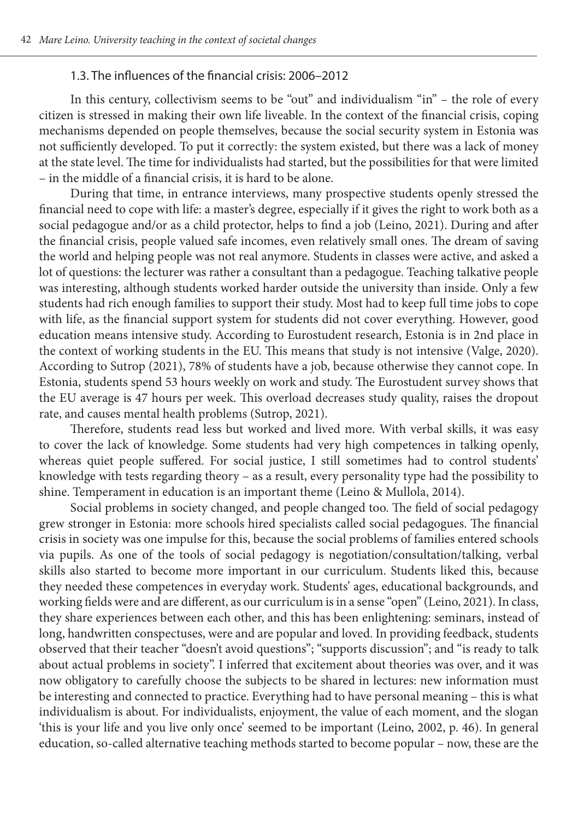#### 1.3. The influences of the financial crisis: 2006–2012

In this century, collectivism seems to be "out" and individualism "in" – the role of every citizen is stressed in making their own life liveable. In the context of the financial crisis, coping mechanisms depended on people themselves, because the social security system in Estonia was not sufficiently developed. To put it correctly: the system existed, but there was a lack of money at the state level. The time for individualists had started, but the possibilities for that were limited – in the middle of a financial crisis, it is hard to be alone.

During that time, in entrance interviews, many prospective students openly stressed the financial need to cope with life: a master's degree, especially if it gives the right to work both as a social pedagogue and/or as a child protector, helps to find a job (Leino, 2021). During and after the financial crisis, people valued safe incomes, even relatively small ones. The dream of saving the world and helping people was not real anymore. Students in classes were active, and asked a lot of questions: the lecturer was rather a consultant than a pedagogue. Teaching talkative people was interesting, although students worked harder outside the university than inside. Only a few students had rich enough families to support their study. Most had to keep full time jobs to cope with life, as the financial support system for students did not cover everything. However, good education means intensive study. According to Eurostudent research, Estonia is in 2nd place in the context of working students in the EU. This means that study is not intensive (Valge, 2020). According to Sutrop (2021), 78% of students have a job, because otherwise they cannot cope. In Estonia, students spend 53 hours weekly on work and study. The Eurostudent survey shows that the EU average is 47 hours per week. This overload decreases study quality, raises the dropout rate, and causes mental health problems (Sutrop, 2021).

Therefore, students read less but worked and lived more. With verbal skills, it was easy to cover the lack of knowledge. Some students had very high competences in talking openly, whereas quiet people suffered. For social justice, I still sometimes had to control students' knowledge with tests regarding theory – as a result, every personality type had the possibility to shine. Temperament in education is an important theme (Leino & Mullola, 2014).

Social problems in society changed, and people changed too. The field of social pedagogy grew stronger in Estonia: more schools hired specialists called social pedagogues. The financial crisis in society was one impulse for this, because the social problems of families entered schools via pupils. As one of the tools of social pedagogy is negotiation/consultation/talking, verbal skills also started to become more important in our curriculum. Students liked this, because they needed these competences in everyday work. Students' ages, educational backgrounds, and working fields were and are different, as our curriculum is in a sense "open" (Leino, 2021). In class, they share experiences between each other, and this has been enlightening: seminars, instead of long, handwritten conspectuses, were and are popular and loved. In providing feedback, students observed that their teacher "doesn't avoid questions"; "supports discussion"; and "is ready to talk about actual problems in society". I inferred that excitement about theories was over, and it was now obligatory to carefully choose the subjects to be shared in lectures: new information must be interesting and connected to practice. Everything had to have personal meaning – this is what individualism is about. For individualists, enjoyment, the value of each moment, and the slogan 'this is your life and you live only once' seemed to be important (Leino, 2002, p. 46). In general education, so-called alternative teaching methods started to become popular – now, these are the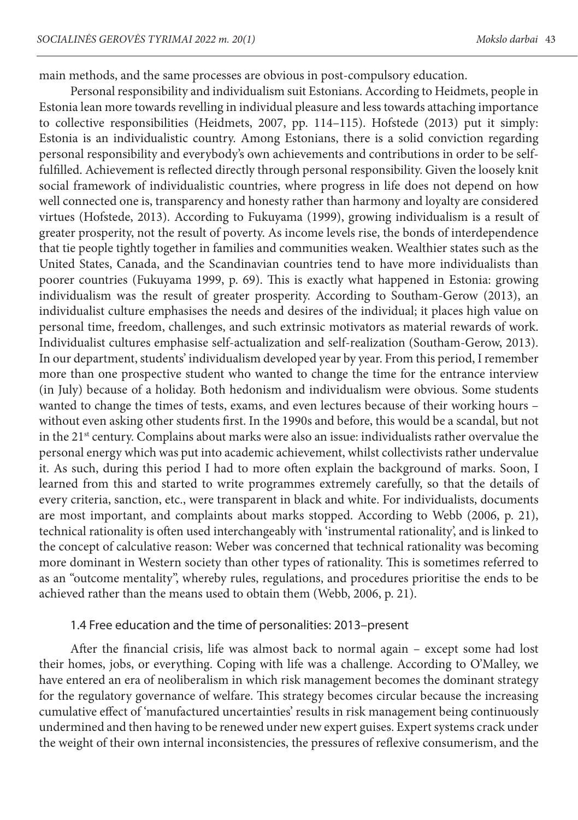main methods, and the same processes are obvious in post-compulsory education.

Personal responsibility and individualism suit Estonians. According to Heidmets, people in Estonia lean more towards revelling in individual pleasure and less towards attaching importance to collective responsibilities (Heidmets, 2007, pp. 114–115). Hofstede (2013) put it simply: Estonia is an individualistic country. Among Estonians, there is a solid conviction regarding personal responsibility and everybody's own achievements and contributions in order to be selffulfilled. Achievement is reflected directly through personal responsibility. Given the loosely knit social framework of individualistic countries, where progress in life does not depend on how well connected one is, transparency and honesty rather than harmony and loyalty are considered virtues (Hofstede, 2013). According to Fukuyama (1999), growing individualism is a result of greater prosperity, not the result of poverty. As income levels rise, the bonds of interdependence that tie people tightly together in families and communities weaken. Wealthier states such as the United States, Canada, and the Scandinavian countries tend to have more individualists than poorer countries (Fukuyama 1999, p. 69). This is exactly what happened in Estonia: growing individualism was the result of greater prosperity. According to Southam-Gerow (2013), an individualist culture emphasises the needs and desires of the individual; it places high value on personal time, freedom, challenges, and such extrinsic motivators as material rewards of work. Individualist cultures emphasise self-actualization and self-realization (Southam-Gerow, 2013). In our department, students' individualism developed year by year. From this period, I remember more than one prospective student who wanted to change the time for the entrance interview (in July) because of a holiday. Both hedonism and individualism were obvious. Some students wanted to change the times of tests, exams, and even lectures because of their working hours – without even asking other students first. In the 1990s and before, this would be a scandal, but not in the 21<sup>st</sup> century. Complains about marks were also an issue: individualists rather overvalue the personal energy which was put into academic achievement, whilst collectivists rather undervalue it. As such, during this period I had to more often explain the background of marks. Soon, I learned from this and started to write programmes extremely carefully, so that the details of every criteria, sanction, etc., were transparent in black and white. For individualists, documents are most important, and complaints about marks stopped. According to Webb (2006, p. 21), technical rationality is often used interchangeably with 'instrumental rationality', and is linked to the concept of calculative reason: Weber was concerned that technical rationality was becoming more dominant in Western society than other types of rationality. This is sometimes referred to as an "outcome mentality", whereby rules, regulations, and procedures prioritise the ends to be achieved rather than the means used to obtain them (Webb, 2006, p. 21).

### 1.4 Free education and the time of personalities: 2013–present

After the financial crisis, life was almost back to normal again – except some had lost their homes, jobs, or everything. Coping with life was a challenge. According to O'Malley, we have entered an era of neoliberalism in which risk management becomes the dominant strategy for the regulatory governance of welfare. This strategy becomes circular because the increasing cumulative effect of 'manufactured uncertainties' results in risk management being continuously undermined and then having to be renewed under new expert guises. Expert systems crack under the weight of their own internal inconsistencies, the pressures of reflexive consumerism, and the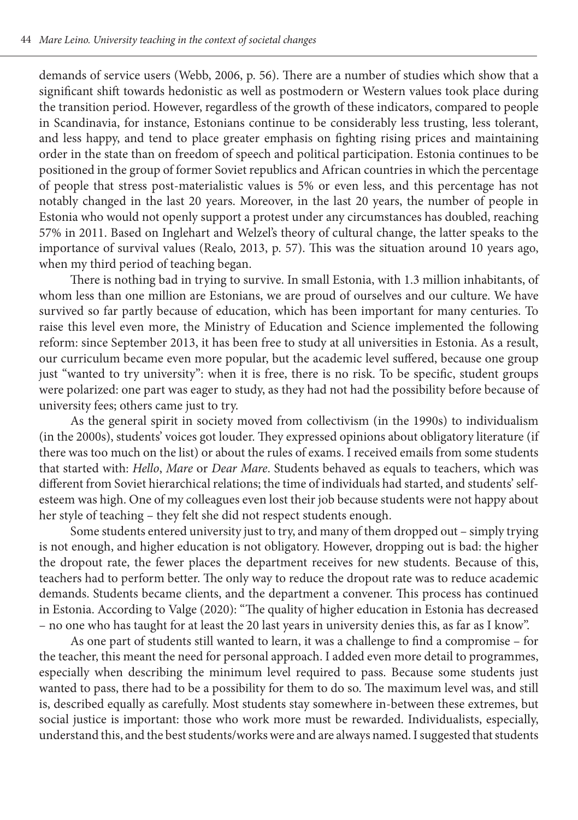demands of service users (Webb, 2006, p. 56). There are a number of studies which show that a significant shift towards hedonistic as well as postmodern or Western values took place during the transition period. However, regardless of the growth of these indicators, compared to people in Scandinavia, for instance, Estonians continue to be considerably less trusting, less tolerant, and less happy, and tend to place greater emphasis on fighting rising prices and maintaining order in the state than on freedom of speech and political participation. Estonia continues to be positioned in the group of former Soviet republics and African countries in which the percentage of people that stress post-materialistic values is 5% or even less, and this percentage has not notably changed in the last 20 years. Moreover, in the last 20 years, the number of people in Estonia who would not openly support a protest under any circumstances has doubled, reaching 57% in 2011. Based on Inglehart and Welzel's theory of cultural change, the latter speaks to the importance of survival values (Realo, 2013, p. 57). This was the situation around 10 years ago, when my third period of teaching began.

There is nothing bad in trying to survive. In small Estonia, with 1.3 million inhabitants, of whom less than one million are Estonians, we are proud of ourselves and our culture. We have survived so far partly because of education, which has been important for many centuries. To raise this level even more, the Ministry of Education and Science implemented the following reform: since September 2013, it has been free to study at all universities in Estonia. As a result, our curriculum became even more popular, but the academic level suffered, because one group just "wanted to try university": when it is free, there is no risk. To be specific, student groups were polarized: one part was eager to study, as they had not had the possibility before because of university fees; others came just to try.

As the general spirit in society moved from collectivism (in the 1990s) to individualism (in the 2000s), students' voices got louder. They expressed opinions about obligatory literature (if there was too much on the list) or about the rules of exams. I received emails from some students that started with: *Hello*, *Mare* or *Dear Mare*. Students behaved as equals to teachers, which was different from Soviet hierarchical relations; the time of individuals had started, and students' selfesteem was high. One of my colleagues even lost their job because students were not happy about her style of teaching – they felt she did not respect students enough.

Some students entered university just to try, and many of them dropped out – simply trying is not enough, and higher education is not obligatory. However, dropping out is bad: the higher the dropout rate, the fewer places the department receives for new students. Because of this, teachers had to perform better. The only way to reduce the dropout rate was to reduce academic demands. Students became clients, and the department a convener. This process has continued in Estonia. According to Valge (2020): "The quality of higher education in Estonia has decreased – no one who has taught for at least the 20 last years in university denies this, as far as I know".

As one part of students still wanted to learn, it was a challenge to find a compromise – for the teacher, this meant the need for personal approach. I added even more detail to programmes, especially when describing the minimum level required to pass. Because some students just wanted to pass, there had to be a possibility for them to do so. The maximum level was, and still is, described equally as carefully. Most students stay somewhere in-between these extremes, but social justice is important: those who work more must be rewarded. Individualists, especially, understand this, and the best students/works were and are always named. I suggested that students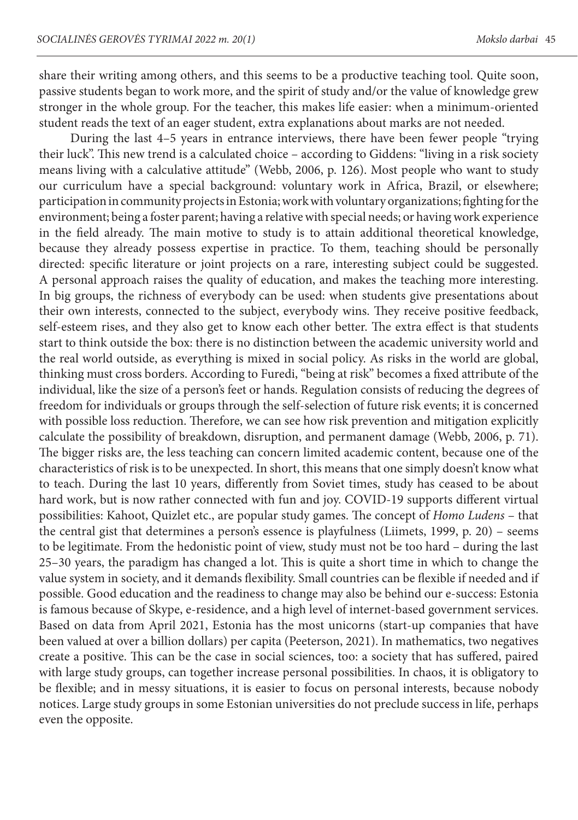share their writing among others, and this seems to be a productive teaching tool. Quite soon, passive students began to work more, and the spirit of study and/or the value of knowledge grew stronger in the whole group. For the teacher, this makes life easier: when a minimum-oriented student reads the text of an eager student, extra explanations about marks are not needed.

During the last 4–5 years in entrance interviews, there have been fewer people "trying their luck". This new trend is a calculated choice – according to Giddens: "living in a risk society means living with a calculative attitude" (Webb, 2006, p. 126). Most people who want to study our curriculum have a special background: voluntary work in Africa, Brazil, or elsewhere; participation in community projects in Estonia; work with voluntary organizations; fighting for the environment; being a foster parent; having a relative with special needs; or having work experience in the field already. The main motive to study is to attain additional theoretical knowledge, because they already possess expertise in practice. To them, teaching should be personally directed: specific literature or joint projects on a rare, interesting subject could be suggested. A personal approach raises the quality of education, and makes the teaching more interesting. In big groups, the richness of everybody can be used: when students give presentations about their own interests, connected to the subject, everybody wins. They receive positive feedback, self-esteem rises, and they also get to know each other better. The extra effect is that students start to think outside the box: there is no distinction between the academic university world and the real world outside, as everything is mixed in social policy. As risks in the world are global, thinking must cross borders. According to Furedi, "being at risk" becomes a fixed attribute of the individual, like the size of a person's feet or hands. Regulation consists of reducing the degrees of freedom for individuals or groups through the self-selection of future risk events; it is concerned with possible loss reduction. Therefore, we can see how risk prevention and mitigation explicitly calculate the possibility of breakdown, disruption, and permanent damage (Webb, 2006, p. 71). The bigger risks are, the less teaching can concern limited academic content, because one of the characteristics of risk is to be unexpected. In short, this means that one simply doesn't know what to teach. During the last 10 years, differently from Soviet times, study has ceased to be about hard work, but is now rather connected with fun and joy. COVID-19 supports different virtual possibilities: Kahoot, Quizlet etc., are popular study games. The concept of *Homo Ludens* – that the central gist that determines a person's essence is playfulness (Liimets, 1999, p. 20) – seems to be legitimate. From the hedonistic point of view, study must not be too hard – during the last 25–30 years, the paradigm has changed a lot. This is quite a short time in which to change the value system in society, and it demands flexibility. Small countries can be flexible if needed and if possible. Good education and the readiness to change may also be behind our e-success: Estonia is famous because of Skype, e-residence, and a high level of internet-based government services. Based on data from April 2021, Estonia has the most unicorns (start-up companies that have been valued at over a billion dollars) per capita (Peeterson, 2021). In mathematics, two negatives create a positive. This can be the case in social sciences, too: a society that has suffered, paired with large study groups, can together increase personal possibilities. In chaos, it is obligatory to be flexible; and in messy situations, it is easier to focus on personal interests, because nobody notices. Large study groups in some Estonian universities do not preclude success in life, perhaps even the opposite.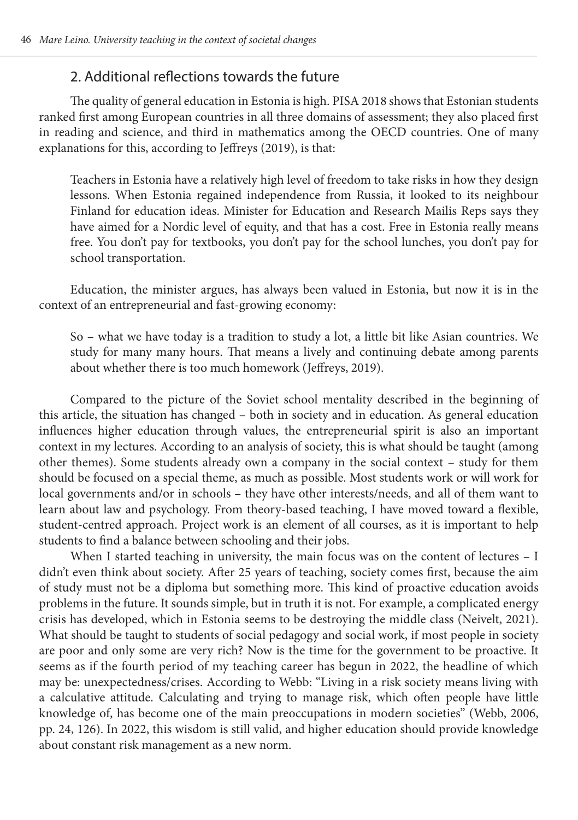## 2. Additional reflections towards the future

The quality of general education in Estonia is high. PISA 2018 shows that Estonian students ranked first among European countries in all three domains of assessment; they also placed first in reading and science, and third in mathematics among the OECD countries. One of many explanations for this, according to Jeffreys (2019), is that:

Teachers in Estonia have a relatively high level of freedom to take risks in how they design lessons. When Estonia regained independence from Russia, it looked to its neighbour Finland for education ideas. Minister for Education and Research Mailis Reps says they have aimed for a Nordic level of equity, and that has a cost. Free in Estonia really means free. You don't pay for textbooks, you don't pay for the school lunches, you don't pay for school transportation.

Education, the minister argues, has always been valued in Estonia, but now it is in the context of an entrepreneurial and fast-growing economy:

So – what we have today is a tradition to study a lot, a little bit like Asian countries. We study for many many hours. That means a lively and continuing debate among parents about whether there is too much homework (Jeffreys, 2019).

Compared to the picture of the Soviet school mentality described in the beginning of this article, the situation has changed – both in society and in education. As general education influences higher education through values, the entrepreneurial spirit is also an important context in my lectures. According to an analysis of society, this is what should be taught (among other themes). Some students already own a company in the social context – study for them should be focused on a special theme, as much as possible. Most students work or will work for local governments and/or in schools – they have other interests/needs, and all of them want to learn about law and psychology. From theory-based teaching, I have moved toward a flexible, student-centred approach. Project work is an element of all courses, as it is important to help students to find a balance between schooling and their jobs.

When I started teaching in university, the main focus was on the content of lectures - I didn't even think about society. After 25 years of teaching, society comes first, because the aim of study must not be a diploma but something more. This kind of proactive education avoids problems in the future. It sounds simple, but in truth it is not. For example, a complicated energy crisis has developed, which in Estonia seems to be destroying the middle class (Neivelt, 2021). What should be taught to students of social pedagogy and social work, if most people in society are poor and only some are very rich? Now is the time for the government to be proactive. It seems as if the fourth period of my teaching career has begun in 2022, the headline of which may be: unexpectedness/crises. According to Webb: "Living in a risk society means living with a calculative attitude. Calculating and trying to manage risk, which often people have little knowledge of, has become one of the main preoccupations in modern societies" (Webb, 2006, pp. 24, 126). In 2022, this wisdom is still valid, and higher education should provide knowledge about constant risk management as a new norm.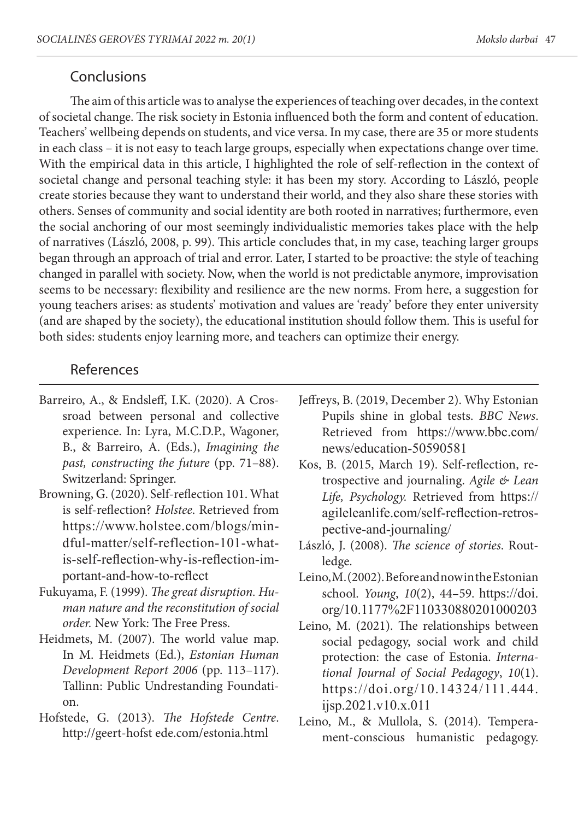## Conclusions

The aim of this article was to analyse the experiences of teaching over decades, in the context of societal change. The risk society in Estonia influenced both the form and content of education. Teachers' wellbeing depends on students, and vice versa. In my case, there are 35 or more students in each class – it is not easy to teach large groups, especially when expectations change over time. With the empirical data in this article, I highlighted the role of self-reflection in the context of societal change and personal teaching style: it has been my story. According to László, people create stories because they want to understand their world, and they also share these stories with others. Senses of community and social identity are both rooted in narratives; furthermore, even the social anchoring of our most seemingly individualistic memories takes place with the help of narratives (László, 2008, p. 99). This article concludes that, in my case, teaching larger groups began through an approach of trial and error. Later, I started to be proactive: the style of teaching changed in parallel with society. Now, when the world is not predictable anymore, improvisation seems to be necessary: flexibility and resilience are the new norms. From here, a suggestion for young teachers arises: as students' motivation and values are 'ready' before they enter university (and are shaped by the society), the educational institution should follow them. This is useful for both sides: students enjoy learning more, and teachers can optimize their energy.

## References

- Barreiro, A., & Endsleff, I.K. (2020). A Crossroad between personal and collective experience. In: Lyra, M.C.D.P., Wagoner, B., & Barreiro, A. (Eds.), *Imagining the past, constructing the future* (pp. 71–88). Switzerland: Springer.
- Browning, G. (2020). Self-reflection 101. What is self-reflection? *Holstee*. Retrieved from https://www.holstee.com/blogs/mindful-matter/self-reflection-101-whatis-self-reflection-why-is-reflection-important-and-how-to-reflect
- Fukuyama, F. (1999). *The great disruption. Human nature and the reconstitution of social order.* New York: The Free Press.
- Heidmets, M. (2007). The world value map. In M. Heidmets (Ed.), *Estonian Human Development Report 2006* (pp. 113–117). Tallinn: Public Undrestanding Foundation.
- Hofstede, G. (2013). *The Hofstede Centre*. http://geert-hofst ede.com/estonia.html
- Jeffreys, B. (2019, December 2). Why Estonian Pupils shine in global tests. *BBC News*. Retrieved from https://www.bbc.com/ news/education-50590581
- Kos, B. (2015, March 19). Self-reflection, retrospective and journaling. *Agile & Lean Life, Psychology.* Retrieved from https:// agileleanlife.com/self-reflection-retrospective-and-journaling/
- László, J. (2008). *The science of stories*. Routledge.
- Leino, M. (2002). Before and now in the Estonian school. *Young*, *10*(2), 44–59. https://doi. org/10.1177%2F110330880201000203
- Leino, M. (2021). The relationships between social pedagogy, social work and child protection: the case of Estonia. *International Journal of Social Pedagogy*, *10*(1). https://doi.org/10.14324/111.444. ijsp.2021.v10.x.011
- Leino, M., & Mullola, S. (2014). Temperament-conscious humanistic pedagogy.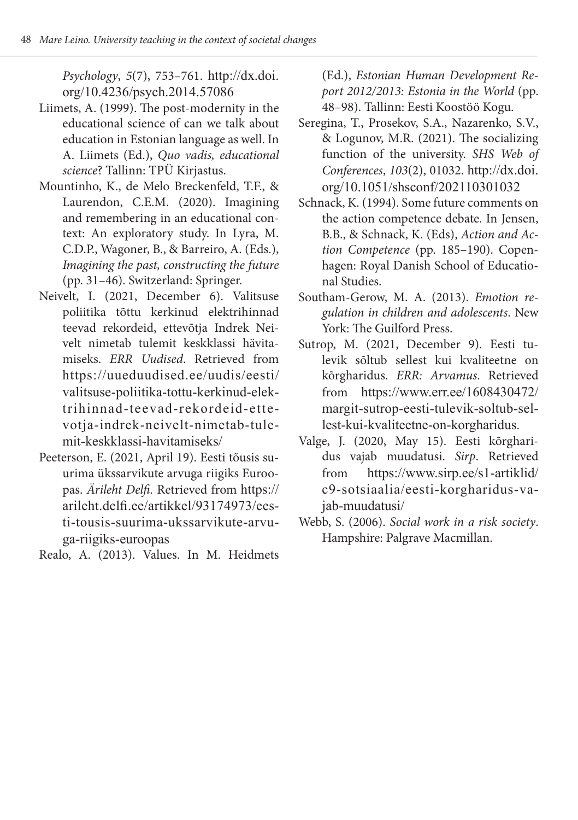*Psychology*, *5*(7), 753–761. http://dx.doi. org/10.4236/psych.2014.57086

- Liimets, A. (1999). The post-modernity in the educational science of can we talk about education in Estonian language as well. In A. Liimets (Ed.), *Quo vadis, educational science*? Tallinn: TPÜ Kirjastus.
- Mountinho, K., de Melo Breckenfeld, T.F., & Laurendon, C.E.M. (2020). Imagining and remembering in an educational context: An exploratory study. In Lyra, M. C.D.P., Wagoner, B., & Barreiro, A. (Eds.), *Imagining the past, constructing the future* (pp. 31–46). Switzerland: Springer.
- Neivelt, I. (2021, December 6). Valitsuse poliitika tõttu kerkinud elektrihinnad teevad rekordeid, ettevõtja Indrek Neivelt nimetab tulemit keskklassi hävitamiseks. *ERR Uudised*. Retrieved from https://uueduudised.ee/uudis/eesti/ valitsuse-poliitika-tottu-kerkinud-elektrihinnad-teevad-rekordeid-ettevotja-indrek-neivelt-nimetab-tulemit-keskklassi-havitamiseks/
- Peeterson, E. (2021, April 19). Eesti tõusis suurima ükssarvikute arvuga riigiks Euroopas. *Ärileht Delfi.* Retrieved from https:// arileht.delfi.ee/artikkel/93174973/eesti-tousis-suurima-ukssarvikute-arvuga-riigiks-euroopas

Realo, A. (2013). Values. In M. Heidmets

(Ed.), *Estonian Human Development Report 2012/2013: Estonia in the World* (pp. 48–98). Tallinn: Eesti Koostöö Kogu.

- Seregina, T., Prosekov, S.A., Nazarenko, S.V., & Logunov, M.R. (2021). The socializing function of the university. *SHS Web of Conferences*, *103*(2), 01032. http://dx.doi. org/10.1051/shsconf/202110301032
- Schnack, K. (1994). Some future comments on the action competence debate. In Jensen, B.B., & Schnack, K. (Eds), *Action and Action Competence* (pp. 185–190). Copenhagen: Royal Danish School of Educational Studies.
- Southam-Gerow, M. A. (2013). *Emotion regulation in children and adolescents*. New York: The Guilford Press.
- Sutrop, M. (2021, December 9). Eesti tulevik sõltub sellest kui kvaliteetne on kõrgharidus. *ERR: Arvamus*. Retrieved from https://www.err.ee/1608430472/ margit-sutrop-eesti-tulevik-soltub-sellest-kui-kvaliteetne-on-korgharidus.
- Valge, J. (2020, May 15). Eesti kõrgharidus vajab muudatusi. *Sirp*. Retrieved from https://www.sirp.ee/s1-artiklid/ c9-sotsiaalia/eesti-korgharidus-vajab-muudatusi/
- Webb, S. (2006). *Social work in a risk society*. Hampshire: Palgrave Macmillan.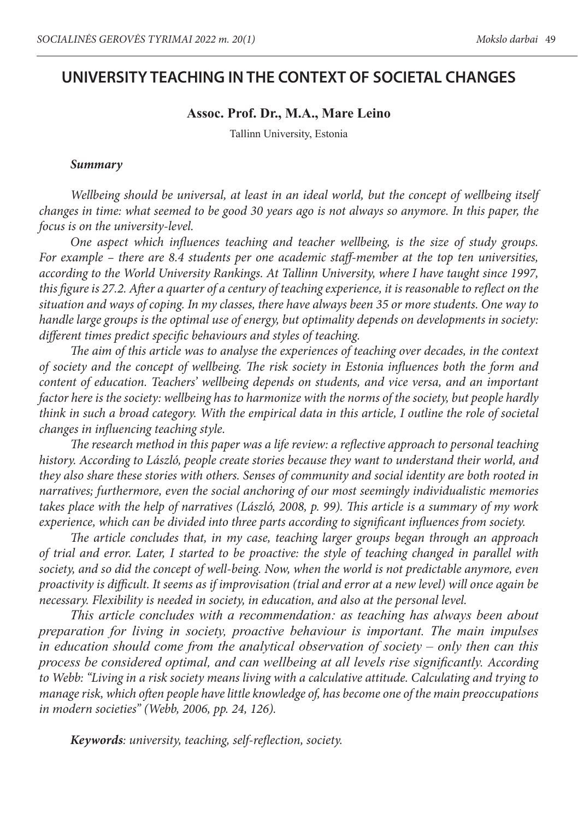## **UNIVERSITY TEACHING IN THE CONTEXT OF SOCIETAL CHANGES**

#### **Assoc. Prof. Dr., M.A., Mare Leino**

Tallinn University, Estonia

#### *Summary*

*Wellbeing should be universal, at least in an ideal world, but the concept of wellbeing itself changes in time: what seemed to be good 30 years ago is not always so anymore. In this paper, the focus is on the university-level.* 

*One aspect which influences teaching and teacher wellbeing, is the size of study groups. For example – there are 8.4 students per one academic staff-member at the top ten universities, according to the World University Rankings. At Tallinn University, where I have taught since 1997, this figure is 27.2. After a quarter of a century of teaching experience, it is reasonable to reflect on the situation and ways of coping. In my classes, there have always been 35 or more students. One way to handle large groups is the optimal use of energy, but optimality depends on developments in society: different times predict specific behaviours and styles of teaching.* 

*The aim of this article was to analyse the experiences of teaching over decades, in the context of society and the concept of wellbeing. The risk society in Estonia influences both the form and content of education. Teachers' wellbeing depends on students, and vice versa, and an important factor here is the society: wellbeing has to harmonize with the norms of the society, but people hardly think in such a broad category. With the empirical data in this article, I outline the role of societal changes in influencing teaching style.* 

*The research method in this paper was a life review: a reflective approach to personal teaching history. According to László, people create stories because they want to understand their world, and they also share these stories with others. Senses of community and social identity are both rooted in narratives; furthermore, even the social anchoring of our most seemingly individualistic memories takes place with the help of narratives (László, 2008, p. 99). This article is a summary of my work experience, which can be divided into three parts according to significant influences from society.* 

*The article concludes that, in my case, teaching larger groups began through an approach of trial and error. Later, I started to be proactive: the style of teaching changed in parallel with society, and so did the concept of well-being. Now, when the world is not predictable anymore, even proactivity is difficult. It seems as if improvisation (trial and error at a new level) will once again be necessary. Flexibility is needed in society, in education, and also at the personal level.* 

*This article concludes with a recommendation: as teaching has always been about preparation for living in society, proactive behaviour is important. The main impulses in education should come from the analytical observation of society – only then can this process be considered optimal, and can wellbeing at all levels rise significantly. According to Webb: "Living in a risk society means living with a calculative attitude. Calculating and trying to manage risk, which often people have little knowledge of, has become one of the main preoccupations in modern societies" (Webb, 2006, pp. 24, 126).*

*Keywords: university, teaching, self-reflection, society.*